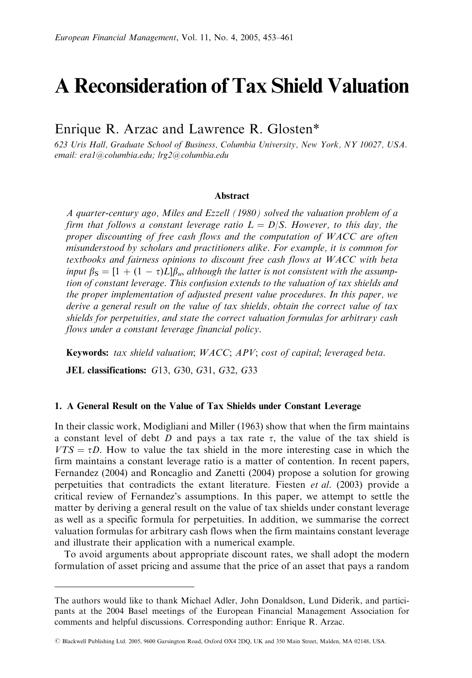# A Reconsideration of Tax Shield Valuation

Enrique R. Arzac and Lawrence R. Glosten\*

623 Uris Hall, Graduate School of Business, Columbia University, New York, NY 10027, USA. email: era1@columbia.edu; lrg2@columbia.edu

#### Abstract

A quarter-century ago, Miles and Ezzell (1980) solved the valuation problem of a firm that follows a constant leverage ratio  $L = D/S$ . However, to this day, the proper discounting of free cash flows and the computation of WACC are often misunderstood by scholars and practitioners alike. For example, it is common for textbooks and fairness opinions to discount free cash flows at WACC with beta input  $\beta_S = [1 + (1 - \tau)L]\beta_u$ , although the latter is not consistent with the assumption of constant leverage. This confusion extends to the valuation of tax shields and the proper implementation of adjusted present value procedures. In this paper, we derive a general result on the value of tax shields, obtain the correct value of tax shields for perpetuities, and state the correct valuation formulas for arbitrary cash flows under a constant leverage financial policy.

Keywords: tax shield valuation; WACC; APV; cost of capital; leveraged beta.

JEL classifications: G13, G30, G31, G32, G33

### 1. A General Result on the Value of Tax Shields under Constant Leverage

In their classic work, Modigliani and Miller (1963) show that when the firm maintains a constant level of debt D and pays a tax rate  $\tau$ , the value of the tax shield is  $VTS = \tau D$ . How to value the tax shield in the more interesting case in which the firm maintains a constant leverage ratio is a matter of contention. In recent papers, Fernandez (2004) and Roncaglio and Zanetti (2004) propose a solution for growing perpetuities that contradicts the extant literature. Fiesten et al. (2003) provide a critical review of Fernandez's assumptions. In this paper, we attempt to settle the matter by deriving a general result on the value of tax shields under constant leverage as well as a specific formula for perpetuities. In addition, we summarise the correct valuation formulas for arbitrary cash flows when the firm maintains constant leverage and illustrate their application with a numerical example.

To avoid arguments about appropriate discount rates, we shall adopt the modern formulation of asset pricing and assume that the price of an asset that pays a random

 $\copyright$  Blackwell Publishing Ltd. 2005, 9600 Garsington Road, Oxford OX4 2DQ, UK and 350 Main Street, Malden, MA 02148, USA.

The authors would like to thank Michael Adler, John Donaldson, Lund Diderik, and participants at the 2004 Basel meetings of the European Financial Management Association for comments and helpful discussions. Corresponding author: Enrique R. Arzac.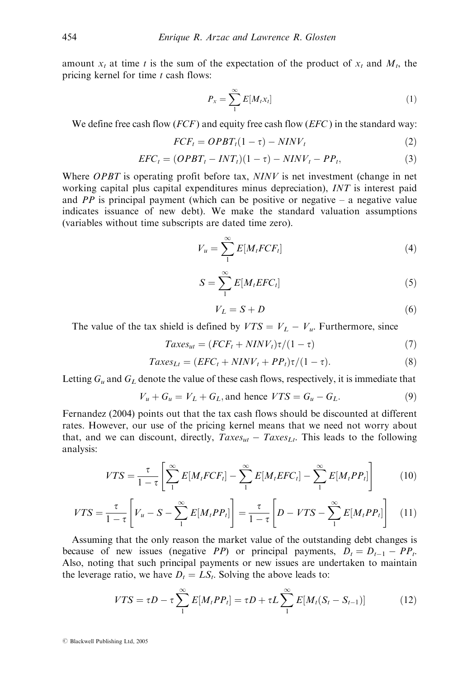amount  $x_t$  at time t is the sum of the expectation of the product of  $x_t$  and  $M_t$ , the pricing kernel for time  $t$  cash flows:

$$
P_x = \sum_{1}^{\infty} E[M_t x_t]
$$
 (1)

We define free cash flow  $(FCF)$  and equity free cash flow  $(EFC)$  in the standard way:

$$
FCF_t = OPBT_t(1 - \tau) - NINV_t \tag{2}
$$

$$
EFC_t = (OPBT_t - INT_t)(1 - \tau) - NINV_t - PP_t, \qquad (3)
$$

Where *OPBT* is operating profit before tax,  $NINV$  is net investment (change in net working capital plus capital expenditures minus depreciation), *INT* is interest paid and  $PP$  is principal payment (which can be positive or negative – a negative value indicates issuance of new debt). We make the standard valuation assumptions (variables without time subscripts are dated time zero).

$$
V_u = \sum_{1}^{\infty} E[M_t FCF_t]
$$
 (4)

$$
S = \sum_{1}^{\infty} E[M_t E F C_t]
$$
 (5)

$$
V_L = S + D \tag{6}
$$

The value of the tax shield is defined by  $VTS = V_L - V_u$ . Furthermore, since

$$
Taxes_{ut} = (FCF_t + NINV_t)\tau/(1-\tau)
$$
\n(7)

$$
Taxes_{Lt} = (EFC_t + NINV_t + PP_t)\tau/(1 - \tau). \tag{8}
$$

Letting  $G_u$  and  $G_L$  denote the value of these cash flows, respectively, it is immediate that

$$
V_u + G_u = V_L + G_L, \text{ and hence } VTS = G_u - G_L. \tag{9}
$$

Fernandez (2004) points out that the tax cash flows should be discounted at different rates. However, our use of the pricing kernel means that we need not worry about that, and we can discount, directly,  $Taxes_{tt} - Taxes_{tt}$ . This leads to the following analysis:

$$
VTS = \frac{\tau}{1-\tau} \left[ \sum_{1}^{\infty} E[M_t FCF_t] - \sum_{1}^{\infty} E[M_t EFC_t] - \sum_{1}^{\infty} E[M_t P P_t] \right]
$$
(10)

$$
VTS = \frac{\tau}{1-\tau} \left[ V_u - S - \sum_{l}^{\infty} E[M_l P P_l] \right] = \frac{\tau}{1-\tau} \left[ D - VTS - \sum_{l}^{\infty} E[M_l P P_l] \right] \tag{11}
$$

Assuming that the only reason the market value of the outstanding debt changes is because of new issues (negative PP) or principal payments,  $D_t = D_{t-1} - PP_t$ . Also, noting that such principal payments or new issues are undertaken to maintain the leverage ratio, we have  $D_t = LS_t$ . Solving the above leads to:

$$
VTS = \tau D - \tau \sum_{1}^{\infty} E[M_t PP_t] = \tau D + \tau L \sum_{1}^{\infty} E[M_t(S_t - S_{t-1})]
$$
(12)

 $\circ$  Blackwell Publishing Ltd, 2005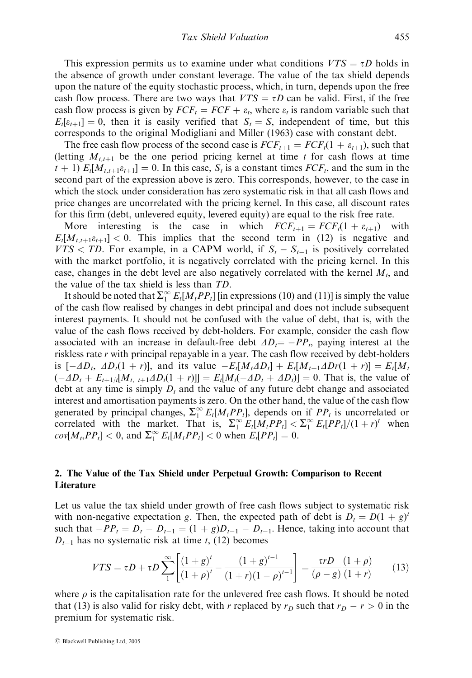This expression permits us to examine under what conditions  $VTS = \tau D$  holds in the absence of growth under constant leverage. The value of the tax shield depends upon the nature of the equity stochastic process, which, in turn, depends upon the free cash flow process. There are two ways that  $VTS = \tau D$  can be valid. First, if the free cash flow process is given by  $FCF_t = FCF + \varepsilon_t$ , where  $\varepsilon_t$  is random variable such that  $E_t[\varepsilon_{t+1}] = 0$ , then it is easily verified that  $S_t = S$ , independent of time, but this corresponds to the original Modigliani and Miller (1963) case with constant debt.

The free cash flow process of the second case is  $FCF_{t+1} = FCF_t(1 + \varepsilon_{t+1})$ , such that (letting  $M_{t,t+1}$  be the one period pricing kernel at time t for cash flows at time  $t + 1$ )  $E_t[M_{t,t+1}\varepsilon_{t+1}] = 0$ . In this case,  $S_t$  is a constant times  $FCF_t$ , and the sum in the second part of the expression above is zero. This corresponds, however, to the case in which the stock under consideration has zero systematic risk in that all cash flows and price changes are uncorrelated with the pricing kernel. In this case, all discount rates for this firm (debt, unlevered equity, levered equity) are equal to the risk free rate.

More interesting is the case in which  $FCF_{t+1} = FCF_t(1 + \varepsilon_{t+1})$  with  $E_t[M_{t,t+1}\varepsilon_{t+1}] < 0$ . This implies that the second term in (12) is negative and  $VTS < TD$ . For example, in a CAPM world, if  $S_t - S_{t-1}$  is positively correlated with the market portfolio, it is negatively correlated with the pricing kernel. In this case, changes in the debt level are also negatively correlated with the kernel  $M_t$ , and the value of the tax shield is less than TD.

It should be noted that  $\sum_{1}^{\infty} E_{t}[M_{t}PP_{t}]$  [in expressions (10) and (11)] is simply the value of the cash flow realised by changes in debt principal and does not include subsequent interest payments. It should not be confused with the value of debt, that is, with the value of the cash flows received by debt-holders. For example, consider the cash flow associated with an increase in default-free debt  $AD_t = -PP_t$ , paying interest at the riskless rate r with principal repayable in a year. The cash flow received by debt-holders is  $[-\Delta D_t, \Delta D_t(1 + r)]$ , and its value  $-E_t[M_t\Delta D_t] + E_t[M_{t+1}\Delta Dr(1 + r)] = E_t[M_t$  $(-\Delta D_t + E_{t+1/t}[M_{t, t+1} \Delta D_t(1+r)]] = E_t[M_t(-\Delta D_t + \Delta D_t)] = 0$ . That is, the value of debt at any time is simply  $D_t$  and the value of any future debt change and associated interest and amortisation payments is zero. On the other hand, the value of the cash flow generated by principal changes,  $\Sigma_1^{\infty} E_t[M_t PP_t]$ , depends on if  $PP_t$  is uncorrelated or correlated with the market. That is,  $\sum_{i=1}^{\infty} E_t[M_i PP_i] < \sum_{i=1}^{\infty} E_t[PP_t]/(1+r)^t$  when  $cov[M_t,PP_t] < 0$ , and  $\sum_{i=1}^{\infty} E_t[M_t PP_t] < 0$  when  $E_t[PP_t] = 0$ .

## 2. The Value of the Tax Shield under Perpetual Growth: Comparison to Recent Literature

Let us value the tax shield under growth of free cash flows subject to systematic risk with non-negative expectation g. Then, the expected path of debt is  $D_t = D(1 + g)^t$ such that  $-PP_t = D_t - D_{t-1} = (1 + g)D_{t-1} - D_{t-1}$ . Hence, taking into account that  $D_{t-1}$  has no systematic risk at time t, (12) becomes

$$
VTS = \tau D + \tau D \sum_{1}^{\infty} \left[ \frac{(1+g)^{t}}{(1+\rho)^{t}} - \frac{(1+g)^{t-1}}{(1+r)(1-\rho)^{t-1}} \right] = \frac{\tau r D}{(\rho - g)} \frac{(1+\rho)}{(1+r)} \tag{13}
$$

where  $\rho$  is the capitalisation rate for the unlevered free cash flows. It should be noted that (13) is also valid for risky debt, with r replaced by  $r<sub>D</sub>$  such that  $r<sub>D</sub> - r > 0$  in the premium for systematic risk.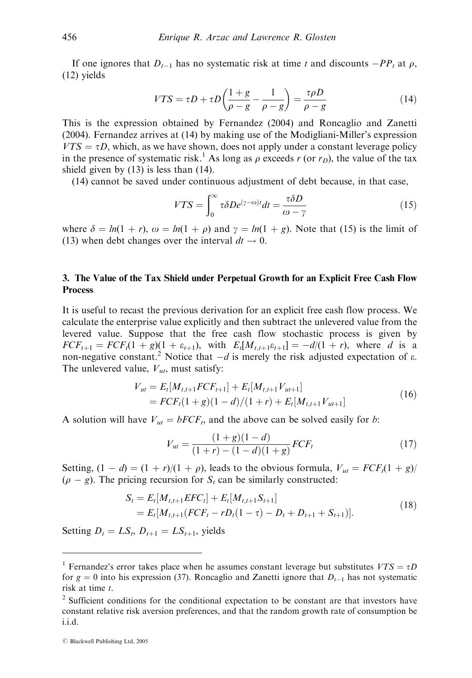If one ignores that  $D_{t-1}$  has no systematic risk at time t and discounts  $-PP_t$  at  $\rho$ , (12) yields

$$
VTS = \tau D + \tau D \left( \frac{1+g}{\rho - g} - \frac{1}{\rho - g} \right) = \frac{\tau \rho D}{\rho - g}
$$
(14)

This is the expression obtained by Fernandez (2004) and Roncaglio and Zanetti (2004). Fernandez arrives at (14) by making use of the Modigliani-Miller's expression  $VTS = \tau D$ , which, as we have shown, does not apply under a constant leverage policy in the presence of systematic risk.<sup>1</sup> As long as  $\rho$  exceeds r (or  $r_D$ ), the value of the tax shield given by (13) is less than (14).

(14) cannot be saved under continuous adjustment of debt because, in that case,

$$
VTS = \int_0^\infty \tau \delta D e^{(\gamma - \omega)t} dt = \frac{\tau \delta D}{\omega - \gamma}
$$
 (15)

where  $\delta = ln(1 + r)$ ,  $\omega = ln(1 + \rho)$  and  $\gamma = ln(1 + g)$ . Note that (15) is the limit of (13) when debt changes over the interval  $dt \rightarrow 0$ .

## 3. The Value of the Tax Shield under Perpetual Growth for an Explicit Free Cash Flow **Process**

It is useful to recast the previous derivation for an explicit free cash flow process. We calculate the enterprise value explicitly and then subtract the unlevered value from the levered value. Suppose that the free cash flow stochastic process is given by  $FCF_{t+1} = FCF_t(1 + g)(1 + \varepsilon_{t+1}),$  with  $E_t[M_{t,t+1}\varepsilon_{t+1}] = -d/(1 + r),$  where d is a non-negative constant.<sup>2</sup> Notice that  $-d$  is merely the risk adjusted expectation of  $\varepsilon$ . The unlevered value,  $V_{ut}$ , must satisfy:

$$
V_{ut} = E_t[M_{t,t+1}FCF_{t+1}] + E_t[M_{t,t+1}V_{ut+1}]
$$
  
=  $FCF_t(1+g)(1-d)/(1+r) + E_t[M_{t,t+1}V_{ut+1}]$  (16)

A solution will have  $V_{ut} = bFCF_t$ , and the above can be solved easily for b:

$$
V_{ut} = \frac{(1+g)(1-d)}{(1+r) - (1-d)(1+g)} FCF_t
$$
\n(17)

Setting,  $(1 - d) = (1 + r)/(1 + \rho)$ , leads to the obvious formula,  $V_{ut} = FCF_t(1 + g)/$  $(\rho - g)$ . The pricing recursion for  $S_t$  can be similarly constructed:

$$
S_t = E_t[M_{t,t+1}EFC_t] + E_t[M_{t,t+1}S_{t+1}]
$$
  
=  $E_t[M_{t,t+1}(FCF_t - rD_t(1 - \tau) - D_t + D_{t+1} + S_{t+1})].$  (18)

Setting  $D_t = LS_t$ ,  $D_{t+1} = LS_{t+1}$ , yields

<sup>&</sup>lt;sup>1</sup> Fernandez's error takes place when he assumes constant leverage but substitutes  $VTS = \tau D$ for  $g = 0$  into his expression (37). Roncaglio and Zanetti ignore that  $D_{t-1}$  has not systematic risk at time t.

<sup>&</sup>lt;sup>2</sup> Sufficient conditions for the conditional expectation to be constant are that investors have constant relative risk aversion preferences, and that the random growth rate of consumption be i.i.d.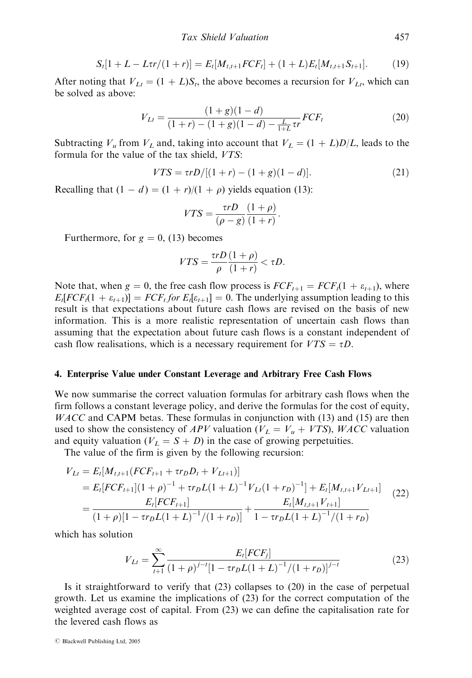$$
S_t[1 + L - L\tau r/(1+r)] = E_t[M_{t,t+1}FCF_t] + (1+L)E_t[M_{t,t+1}S_{t+1}].
$$
 (19)

After noting that  $V_{Lt} = (1 + L)S_t$ , the above becomes a recursion for  $V_{Lt}$ , which can be solved as above:

$$
V_{Lt} = \frac{(1+g)(1-d)}{(1+r) - (1+g)(1-d) - \frac{L}{1+L}\tau r} FCF_t
$$
\n(20)

Subtracting  $V_{\mu}$  from  $V_{\mu}$  and, taking into account that  $V_{\mu} = (1 + L)D/L$ , leads to the formula for the value of the tax shield, VTS:

$$
VTS = \tau rD/[(1+r) - (1+g)(1-d)].
$$
\n(21)

Recalling that  $(1 - d) = (1 + r)/(1 + \rho)$  yields equation (13):

$$
VTS = \frac{\tau r D}{(\rho - g)} \frac{(1 + \rho)}{(1 + r)}.
$$

Furthermore, for  $g = 0$ , (13) becomes

$$
VTS = \frac{\tau r D}{\rho} \frac{(1+\rho)}{(1+r)} < \tau D.
$$

Note that, when  $g = 0$ , the free cash flow process is  $FCF_{t+1} = FCF_t(1 + \varepsilon_{t+1})$ , where  $E_t[FCF_t(1 + \varepsilon_{t+1})] = FCF_t for E_t[\varepsilon_{t+1}] = 0.$  The underlying assumption leading to this result is that expectations about future cash flows are revised on the basis of new information. This is a more realistic representation of uncertain cash flows than assuming that the expectation about future cash flows is a constant independent of cash flow realisations, which is a necessary requirement for  $VTS = \tau D$ .

#### 4. Enterprise Value under Constant Leverage and Arbitrary Free Cash Flows

We now summarise the correct valuation formulas for arbitrary cash flows when the firm follows a constant leverage policy, and derive the formulas for the cost of equity, WACC and CAPM betas. These formulas in conjunction with (13) and (15) are then used to show the consistency of *APV* valuation ( $V_L = V_u + VTS$ ), *WACC* valuation and equity valuation  $(V_L = S + D)$  in the case of growing perpetuities.

The value of the firm is given by the following recursion:

$$
V_{Lt} = E_t[M_{t,t+1}(FCF_{t+1} + \tau r_D D_t + V_{Lt+1})]
$$
  
=  $E_t[FCF_{t+1}](1+\rho)^{-1} + \tau r_D L(1+L)^{-1} V_{Lt}(1+r_D)^{-1}] + E_t[M_{t,t+1}V_{Lt+1}]$   
=  $\frac{E_t[FCF_{t+1}]}{(1+\rho)[1-\tau r_D L(1+L)^{-1}/(1+r_D)]} + \frac{E_t[M_{t,t+1}V_{t+1}]}{1-\tau r_D L(1+L)^{-1}/(1+r_D)}$  (22)

which has solution

$$
V_{Lt} = \sum_{t+1}^{\infty} \frac{E_t[FCF_j]}{(1+\rho)^{j-t}[1-\tau r_D L(1+L)^{-1}/(1+r_D)]^{j-t}}
$$
(23)

Is it straightforward to verify that (23) collapses to (20) in the case of perpetual growth. Let us examine the implications of (23) for the correct computation of the weighted average cost of capital. From (23) we can define the capitalisation rate for the levered cash flows as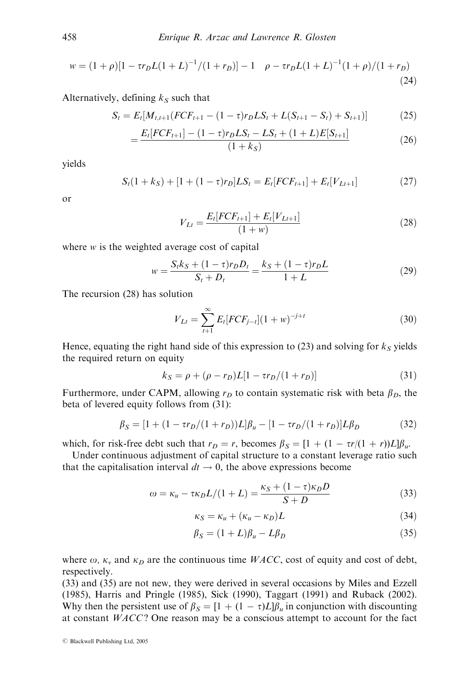$$
w = (1 + \rho)[1 - \tau r_D L(1 + L)^{-1}/(1 + r_D)] - 1 \quad \rho - \tau r_D L(1 + L)^{-1}(1 + \rho)/(1 + r_D)
$$
\n(24)

Alternatively, defining  $k<sub>S</sub>$  such that

$$
S_t = E_t[M_{t,t+1}(FCF_{t+1} - (1-\tau)r_DLS_t + L(S_{t+1} - S_t) + S_{t+1})]
$$
(25)

$$
=\frac{E_t[FCF_{t+1}] - (1-\tau)r_DLS_t - LS_t + (1+L)E[S_{t+1}]}{(1+k_S)}
$$
(26)

yields

$$
S_t(1+k_S) + [1+(1-\tau)r_D]LS_t = E_t[FCF_{t+1}] + E_t[V_{Lt+1}] \tag{27}
$$

or

$$
V_{Lt} = \frac{E_t[FCF_{t+1}] + E_t[V_{Lt+1}]}{(1+w)}
$$
\n(28)

where  $w$  is the weighted average cost of capital

$$
w = \frac{S_t k_S + (1 - \tau) r_D D_t}{S_t + D_t} = \frac{k_S + (1 - \tau) r_D L}{1 + L}
$$
(29)

The recursion (28) has solution

$$
V_{Lt} = \sum_{t+1}^{\infty} E_t[FCF_{j-t}](1+w)^{-j+t}
$$
\n(30)

Hence, equating the right hand side of this expression to (23) and solving for  $k<sub>S</sub>$  yields the required return on equity

$$
k_S = \rho + (\rho - r_D)L[1 - \tau r_D/(1 + r_D)]
$$
\n(31)

Furthermore, under CAPM, allowing  $r<sub>D</sub>$  to contain systematic risk with beta  $\beta<sub>D</sub>$ , the beta of levered equity follows from (31):

$$
\beta_S = [1 + (1 - \tau r_D/(1 + r_D))L]\beta_u - [1 - \tau r_D/(1 + r_D)]L\beta_D \tag{32}
$$

which, for risk-free debt such that  $r_D = r$ , becomes  $\beta_S = [1 + (1 - \tau r/(1 + r))L]\beta_u$ .

Under continuous adjustment of capital structure to a constant leverage ratio such that the capitalisation interval  $dt \rightarrow 0$ , the above expressions become

$$
\omega = \kappa_u - \tau \kappa_D L / (1 + L) = \frac{\kappa_S + (1 - \tau)\kappa_D D}{S + D} \tag{33}
$$

$$
\kappa_S = \kappa_u + (\kappa_u - \kappa_D)L \tag{34}
$$

$$
\beta_S = (1 + L)\beta_u - L\beta_D \tag{35}
$$

where  $\omega$ ,  $\kappa$ <sub>v</sub> and  $\kappa$ <sub>D</sub> are the continuous time WACC, cost of equity and cost of debt, respectively.

(33) and (35) are not new, they were derived in several occasions by Miles and Ezzell (1985), Harris and Pringle (1985), Sick (1990), Taggart (1991) and Ruback (2002). Why then the persistent use of  $\beta_S = [1 + (1 - \tau)L]\beta_u$  in conjunction with discounting at constant WACC ? One reason may be a conscious attempt to account for the fact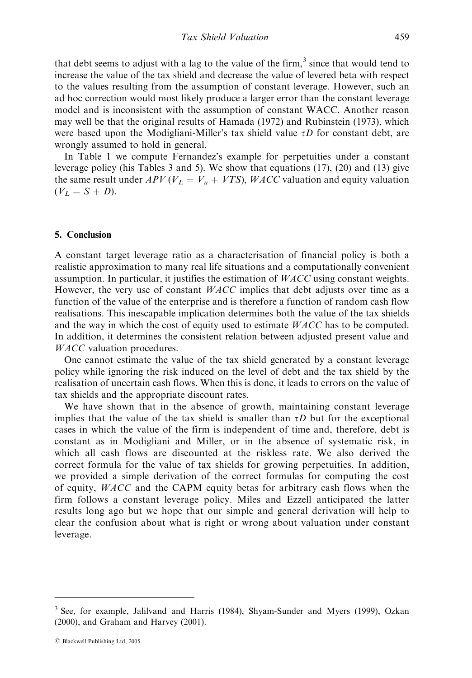that debt seems to adjust with a lag to the value of the firm, $3$  since that would tend to increase the value of the tax shield and decrease the value of levered beta with respect to the values resulting from the assumption of constant leverage. However, such an ad hoc correction would most likely produce a larger error than the constant leverage model and is inconsistent with the assumption of constant WACC. Another reason may well be that the original results of Hamada (1972) and Rubinstein (1973), which were based upon the Modigliani-Miller's tax shield value  $\tau D$  for constant debt, are wrongly assumed to hold in general.

In Table 1 we compute Fernandez's example for perpetuities under a constant leverage policy (his Tables 3 and 5). We show that equations (17), (20) and (13) give the same result under  $APV$  ( $V_L = V_u + VTS$ ), WACC valuation and equity valuation  $(V_L = S + D).$ 

#### 5. Conclusion

A constant target leverage ratio as a characterisation of financial policy is both a realistic approximation to many real life situations and a computationally convenient assumption. In particular, it justifies the estimation of WACC using constant weights. However, the very use of constant WACC implies that debt adjusts over time as a function of the value of the enterprise and is therefore a function of random cash flow realisations. This inescapable implication determines both the value of the tax shields and the way in which the cost of equity used to estimate WACC has to be computed. In addition, it determines the consistent relation between adjusted present value and WACC valuation procedures.

One cannot estimate the value of the tax shield generated by a constant leverage policy while ignoring the risk induced on the level of debt and the tax shield by the realisation of uncertain cash flows. When this is done, it leads to errors on the value of tax shields and the appropriate discount rates.

We have shown that in the absence of growth, maintaining constant leverage implies that the value of the tax shield is smaller than  $\tau D$  but for the exceptional cases in which the value of the firm is independent of time and, therefore, debt is constant as in Modigliani and Miller, or in the absence of systematic risk, in which all cash flows are discounted at the riskless rate. We also derived the correct formula for the value of tax shields for growing perpetuities. In addition, we provided a simple derivation of the correct formulas for computing the cost of equity, WACC and the CAPM equity betas for arbitrary cash flows when the firm follows a constant leverage policy. Miles and Ezzell anticipated the latter results long ago but we hope that our simple and general derivation will help to clear the confusion about what is right or wrong about valuation under constant leverage.

<sup>3</sup> See, for example, Jalilvand and Harris (1984), Shyam-Sunder and Myers (1999), Ozkan (2000), and Graham and Harvey (2001).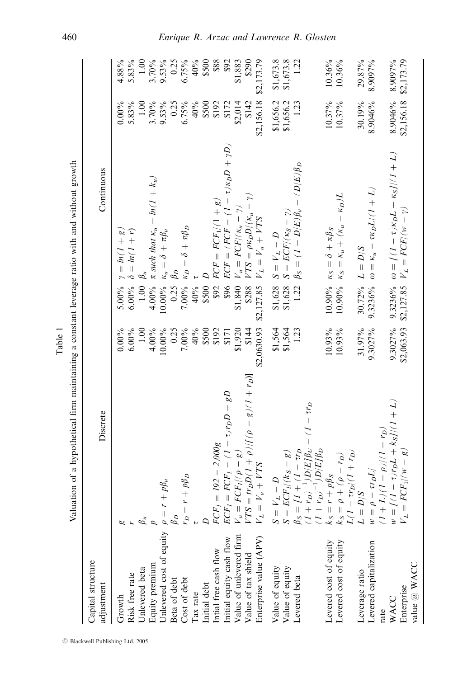| -<br>E | $\ddot{\phantom{0}}$<br><u>ا</u><br>ical time majntajning a constant laverage ratio with and withou<br>$\ddot{\phantom{0}}$<br>i<br>:<br>:<br>.<br>[ |
|--------|------------------------------------------------------------------------------------------------------------------------------------------------------|
|        |                                                                                                                                                      |
|        |                                                                                                                                                      |
|        |                                                                                                                                                      |
|        |                                                                                                                                                      |
|        |                                                                                                                                                      |
|        |                                                                                                                                                      |
|        |                                                                                                                                                      |
|        |                                                                                                                                                      |
|        |                                                                                                                                                      |
|        |                                                                                                                                                      |
|        |                                                                                                                                                      |
|        |                                                                                                                                                      |
|        |                                                                                                                                                      |
|        |                                                                                                                                                      |
|        |                                                                                                                                                      |
|        |                                                                                                                                                      |
|        |                                                                                                                                                      |
|        |                                                                                                                                                      |
|        |                                                                                                                                                      |
|        |                                                                                                                                                      |
|        |                                                                                                                                                      |
|        |                                                                                                                                                      |
|        |                                                                                                                                                      |
|        |                                                                                                                                                      |
|        |                                                                                                                                                      |
|        |                                                                                                                                                      |
|        |                                                                                                                                                      |
|        |                                                                                                                                                      |
|        |                                                                                                                                                      |
|        |                                                                                                                                                      |
|        |                                                                                                                                                      |
|        |                                                                                                                                                      |
|        |                                                                                                                                                      |
|        |                                                                                                                                                      |
|        |                                                                                                                                                      |
|        |                                                                                                                                                      |
|        |                                                                                                                                                      |
|        |                                                                                                                                                      |
|        |                                                                                                                                                      |
|        |                                                                                                                                                      |
|        |                                                                                                                                                      |
|        |                                                                                                                                                      |
|        |                                                                                                                                                      |
|        |                                                                                                                                                      |
|        |                                                                                                                                                      |
|        |                                                                                                                                                      |
|        |                                                                                                                                                      |
|        |                                                                                                                                                      |
|        |                                                                                                                                                      |
|        |                                                                                                                                                      |
|        |                                                                                                                                                      |
|        |                                                                                                                                                      |
|        |                                                                                                                                                      |
|        |                                                                                                                                                      |
|        |                                                                                                                                                      |
|        |                                                                                                                                                      |
|        |                                                                                                                                                      |
|        |                                                                                                                                                      |
|        |                                                                                                                                                      |
|        |                                                                                                                                                      |
|        |                                                                                                                                                      |
|        |                                                                                                                                                      |
|        |                                                                                                                                                      |
|        |                                                                                                                                                      |
|        |                                                                                                                                                      |
|        |                                                                                                                                                      |
|        |                                                                                                                                                      |
|        |                                                                                                                                                      |
|        |                                                                                                                                                      |
|        |                                                                                                                                                      |
|        |                                                                                                                                                      |
|        |                                                                                                                                                      |
|        |                                                                                                                                                      |
|        |                                                                                                                                                      |
|        |                                                                                                                                                      |
|        |                                                                                                                                                      |
|        |                                                                                                                                                      |
|        |                                                                                                                                                      |
|        |                                                                                                                                                      |
|        |                                                                                                                                                      |
|        |                                                                                                                                                      |
|        |                                                                                                                                                      |
|        |                                                                                                                                                      |
|        |                                                                                                                                                      |
|        |                                                                                                                                                      |
|        |                                                                                                                                                      |
|        |                                                                                                                                                      |
|        |                                                                                                                                                      |
|        |                                                                                                                                                      |
|        |                                                                                                                                                      |
|        |                                                                                                                                                      |
|        |                                                                                                                                                      |
|        |                                                                                                                                                      |
|        |                                                                                                                                                      |
|        |                                                                                                                                                      |
|        |                                                                                                                                                      |
|        |                                                                                                                                                      |
|        |                                                                                                                                                      |
|        |                                                                                                                                                      |
|        |                                                                                                                                                      |
|        |                                                                                                                                                      |
|        |                                                                                                                                                      |
|        |                                                                                                                                                      |
|        |                                                                                                                                                      |
|        |                                                                                                                                                      |
|        |                                                                                                                                                      |
|        |                                                                                                                                                      |
|        |                                                                                                                                                      |
|        |                                                                                                                                                      |
|        |                                                                                                                                                      |
|        |                                                                                                                                                      |
|        |                                                                                                                                                      |
|        |                                                                                                                                                      |
|        |                                                                                                                                                      |
|        |                                                                                                                                                      |
|        |                                                                                                                                                      |
|        |                                                                                                                                                      |
|        |                                                                                                                                                      |
|        |                                                                                                                                                      |
|        |                                                                                                                                                      |
|        |                                                                                                                                                      |
|        |                                                                                                                                                      |
|        |                                                                                                                                                      |
|        |                                                                                                                                                      |
|        |                                                                                                                                                      |
|        |                                                                                                                                                      |
|        |                                                                                                                                                      |
|        |                                                                                                                                                      |
|        |                                                                                                                                                      |
|        | $    -$                                                                                                                                              |
|        |                                                                                                                                                      |
|        |                                                                                                                                                      |
|        |                                                                                                                                                      |
|        |                                                                                                                                                      |
|        |                                                                                                                                                      |
|        |                                                                                                                                                      |
|        | ۔<br>بالا                                                                                                                                            |
|        |                                                                                                                                                      |
|        |                                                                                                                                                      |
|        |                                                                                                                                                      |
|        |                                                                                                                                                      |
|        |                                                                                                                                                      |
|        |                                                                                                                                                      |
|        |                                                                                                                                                      |
|        | $1 - 2 - 2$                                                                                                                                          |

| Capital structure<br>adjustment | Discrete                                                                                                                                                                                                                                                                                            |             |                 | Continuous                                                                |            |            |
|---------------------------------|-----------------------------------------------------------------------------------------------------------------------------------------------------------------------------------------------------------------------------------------------------------------------------------------------------|-------------|-----------------|---------------------------------------------------------------------------|------------|------------|
| Growth                          |                                                                                                                                                                                                                                                                                                     | $0.00\%$    |                 |                                                                           | $0.00\%$   | 4.88%      |
| Risk free rate                  |                                                                                                                                                                                                                                                                                                     | $6.00\%$    |                 | 5.00% $\gamma = ln(1 + g)$<br>6.00% $\delta = ln(1 + r)$                  | 5.83%      | 5.83%      |
| Unlevered beta                  |                                                                                                                                                                                                                                                                                                     | 1.00        | $1.00\ \beta_u$ |                                                                           | 1.00       | 1.00       |
| Equity premium                  |                                                                                                                                                                                                                                                                                                     | $4.00\%$    | $4.00\%$        | $\pi$ such that $\kappa_u = ln(1 + k_u)$                                  | 3.70%      | 3.70%      |
| Unlevered cost of equity        |                                                                                                                                                                                                                                                                                                     | 10.00%      |                 | 10.00% $\kappa_u = \delta + \pi \beta_u$                                  | $9.53\%$   | 9.53%      |
| Beta of debt                    | $\begin{aligned} \rho &= r + p \beta_u \\ \beta_D \end{aligned}$                                                                                                                                                                                                                                    | 0.25        | 0.25            | $\overline{q}$                                                            | 0.25       | 0.25       |
| Cost of debt                    | $r_D=r+p\beta_D$                                                                                                                                                                                                                                                                                    | 7.00%       | $7.00\%$        | $\kappa_D = \delta + \pi \beta_D$                                         | 6.75%      | 6.75%      |
| Tax rate                        |                                                                                                                                                                                                                                                                                                     | 40%         | 40%             |                                                                           | 40%        | 40%        |
| Initial debt                    |                                                                                                                                                                                                                                                                                                     | \$500       | \$500           | $\mathbf{z}$                                                              | \$500      | \$500      |
| Intial free cash flow           | $FCF_1 = 192 - 2,000g$                                                                                                                                                                                                                                                                              | \$192       | \$92            | $FCF = FCF_1/(1 + g)$                                                     | \$192      | \$88       |
| Initial equity cash flow        |                                                                                                                                                                                                                                                                                                     | \$171       | \$96            | $ECF = (FCF - (I - \tau)\kappa_D D + \gamma D)$                           | \$172      | \$92       |
| Value of unlevered firm         |                                                                                                                                                                                                                                                                                                     | \$1,920     | \$1,840         | $V_u = FCF/( \kappa_u - \gamma )$                                         | \$2,014    | \$1,883    |
| Value of tax shield             |                                                                                                                                                                                                                                                                                                     | \$144       | \$288           | $VTS=\rho\kappa_D D/(\kappa_u-\gamma)$                                    | \$142      | \$290      |
| Enterprise value (APV)          | $\begin{array}{l} ECF_I = FCF_I - (I\stackrel{-}{-} \tau) r_D D + gD \\ V_u = FCF_I/(\rho - g) \\ VTS = r r_D D (I + \rho) /[(\rho - g) (I + r_D)] \\ V_L = V_u + VTS \end{array}$                                                                                                                  | \$2,0630.93 | \$2,127.85      | $V_L = V_u + VTS$                                                         | \$2,156.18 | \$2,173.79 |
| Value of equity                 |                                                                                                                                                                                                                                                                                                     | \$1,564     |                 | \$1,628 $S = V_L - D$                                                     | \$1,656.2  | \$1,673.8  |
| Value of equity                 |                                                                                                                                                                                                                                                                                                     | \$1,564     | \$1,628         | $S = ECF/( \kappa_S - \gamma )$                                           | \$1,656.2  | \$1,673.8  |
| Levered beta                    |                                                                                                                                                                                                                                                                                                     | 1.23        | 1.22            | $\beta_S = (I + D/E)\beta_u - (D/E)\beta_D$                               | 1.23       | 1.22       |
|                                 | $\begin{array}{l} S = \, V_L - D \\ S = \, E C F_l / (k_S - g) \\ \beta_S = \, I \, I \, \leftarrow \, (I \, - \, \tau r_D \\ (I \, + \, r_D)^{-1} \, ) \, D / E \, J \, \beta_U \, - \, \left( \, I \, - \, \tau r_D \, \right) \\ (I \, + \, r_D)^{-1} \, ) \, D / E \, J \, \beta_D \end{array}$ |             |                 |                                                                           |            |            |
| Levered cost of equity          |                                                                                                                                                                                                                                                                                                     | 10.93%      |                 | 10.90% $\kappa_S = \delta + \pi \beta_S$                                  | 10.37%     | 10.36%     |
| Levered cost of equity          | $L(I - \tau r_D/(I + r_D))$<br>$(\rho - r_D)$<br>$k_S = r + p\beta_S$<br>$k_S = \rho + (\rho -$                                                                                                                                                                                                     | 10.93%      |                 | 10.90% $\kappa_S = \kappa_u + (\kappa_u - \kappa_D) L$                    | 10.37%     | 10.36%     |
| Leverage ratio                  | $L=D/S$                                                                                                                                                                                                                                                                                             | 31.97%      |                 | 30.72% $L = D/S$                                                          | 30.19%     | 29.87%     |
| Levered capitalization          | $w = \rho - \tau r_D L/$                                                                                                                                                                                                                                                                            | 9.3027%     |                 | 9.3236% $\omega = \kappa_u - \frac{\tau \kappa_D L}{I + L}$               | 8.9046%    | 8.9097%    |
| rate                            |                                                                                                                                                                                                                                                                                                     |             |                 |                                                                           |            |            |
| WACC                            | $(1 + L)(1 + \rho)/(1 + r_D)$<br>w = $[(1 - t)r_D L + k_S]/(1 + L)$                                                                                                                                                                                                                                 | 9.3027%     |                 | 9.3236% $\omega = \frac{I}{1 - \tau} \kappa_D L + \frac{\kappa_S}{I} = L$ | 8.9046%    | 8.9097%    |
| Enterprise                      | $V_L = FCF_1/w - g$                                                                                                                                                                                                                                                                                 | \$2,063.93  |                 | \$2,127.85 $V_L = FCF/(w - \gamma)$                                       | \$2,156.18 | \$2,173.79 |
| value @ WACC                    |                                                                                                                                                                                                                                                                                                     |             |                 |                                                                           |            |            |

## 460 Enrique R. Arzac and Lawrence R. Glosten

 $\circ$  Blackwell Publishing Ltd, 2005

Í